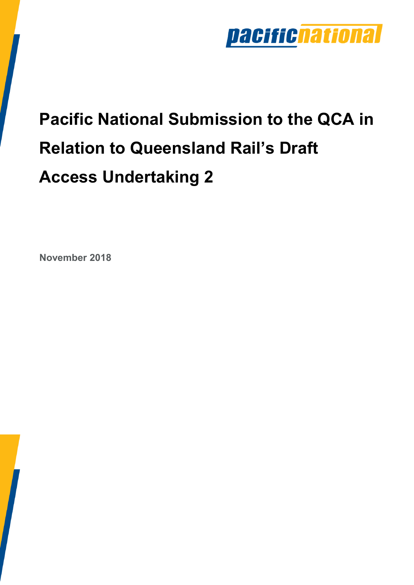

# **Pacific National Submission to the QCA in Relation to Queensland Rail's Draft Access Undertaking 2**

**November 2018**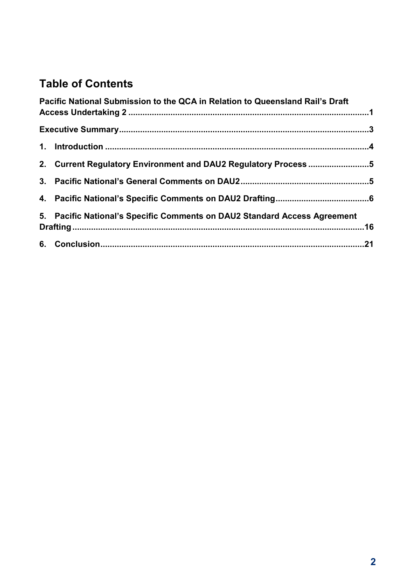#### **Table of Contents**

| Pacific National Submission to the QCA in Relation to Queensland Rail's Draft |  |
|-------------------------------------------------------------------------------|--|
|                                                                               |  |
|                                                                               |  |
| 2. Current Regulatory Environment and DAU2 Regulatory Process5                |  |
|                                                                               |  |
|                                                                               |  |
| 5. Pacific National's Specific Comments on DAU2 Standard Access Agreement     |  |
|                                                                               |  |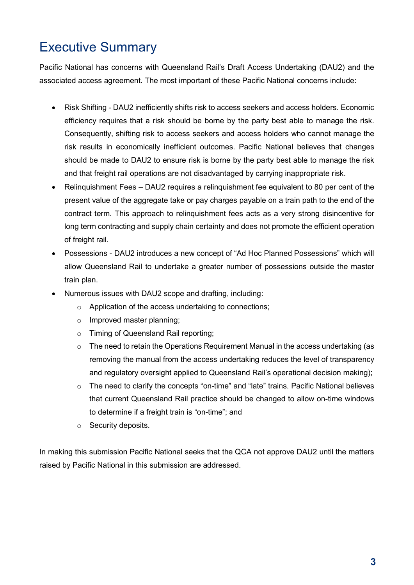## Executive Summary

Pacific National has concerns with Queensland Rail's Draft Access Undertaking (DAU2) and the associated access agreement. The most important of these Pacific National concerns include:

- Risk Shifting DAU2 inefficiently shifts risk to access seekers and access holders. Economic efficiency requires that a risk should be borne by the party best able to manage the risk. Consequently, shifting risk to access seekers and access holders who cannot manage the risk results in economically inefficient outcomes. Pacific National believes that changes should be made to DAU2 to ensure risk is borne by the party best able to manage the risk and that freight rail operations are not disadvantaged by carrying inappropriate risk.
- Relinquishment Fees DAU2 requires a relinquishment fee equivalent to 80 per cent of the present value of the aggregate take or pay charges payable on a train path to the end of the contract term. This approach to relinquishment fees acts as a very strong disincentive for long term contracting and supply chain certainty and does not promote the efficient operation of freight rail.
- Possessions DAU2 introduces a new concept of "Ad Hoc Planned Possessions" which will allow Queensland Rail to undertake a greater number of possessions outside the master train plan.
- Numerous issues with DAU2 scope and drafting, including:
	- o Application of the access undertaking to connections;
	- o Improved master planning;
	- o Timing of Queensland Rail reporting;
	- $\circ$  The need to retain the Operations Requirement Manual in the access undertaking (as removing the manual from the access undertaking reduces the level of transparency and regulatory oversight applied to Queensland Rail's operational decision making);
	- o The need to clarify the concepts "on-time" and "late" trains. Pacific National believes that current Queensland Rail practice should be changed to allow on-time windows to determine if a freight train is "on-time"; and
	- o Security deposits.

In making this submission Pacific National seeks that the QCA not approve DAU2 until the matters raised by Pacific National in this submission are addressed.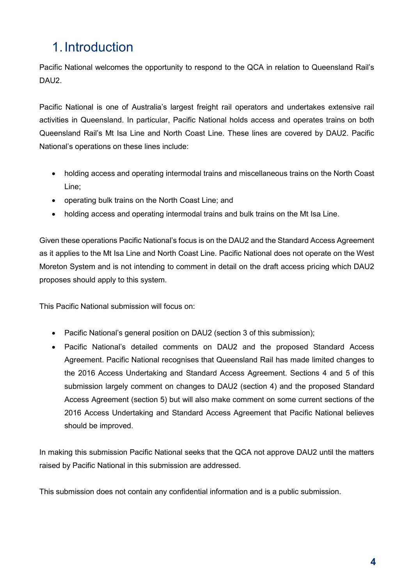# 1. Introduction

Pacific National welcomes the opportunity to respond to the QCA in relation to Queensland Rail's DAU<sub>2</sub>.

Pacific National is one of Australia's largest freight rail operators and undertakes extensive rail activities in Queensland. In particular, Pacific National holds access and operates trains on both Queensland Rail's Mt Isa Line and North Coast Line. These lines are covered by DAU2. Pacific National's operations on these lines include:

- holding access and operating intermodal trains and miscellaneous trains on the North Coast Line;
- operating bulk trains on the North Coast Line; and
- holding access and operating intermodal trains and bulk trains on the Mt Isa Line.

Given these operations Pacific National's focus is on the DAU2 and the Standard Access Agreement as it applies to the Mt Isa Line and North Coast Line. Pacific National does not operate on the West Moreton System and is not intending to comment in detail on the draft access pricing which DAU2 proposes should apply to this system.

This Pacific National submission will focus on:

- Pacific National's general position on DAU2 (section 3 of this submission);
- Pacific National's detailed comments on DAU2 and the proposed Standard Access Agreement. Pacific National recognises that Queensland Rail has made limited changes to the 2016 Access Undertaking and Standard Access Agreement. Sections 4 and 5 of this submission largely comment on changes to DAU2 (section 4) and the proposed Standard Access Agreement (section 5) but will also make comment on some current sections of the 2016 Access Undertaking and Standard Access Agreement that Pacific National believes should be improved.

In making this submission Pacific National seeks that the QCA not approve DAU2 until the matters raised by Pacific National in this submission are addressed.

This submission does not contain any confidential information and is a public submission.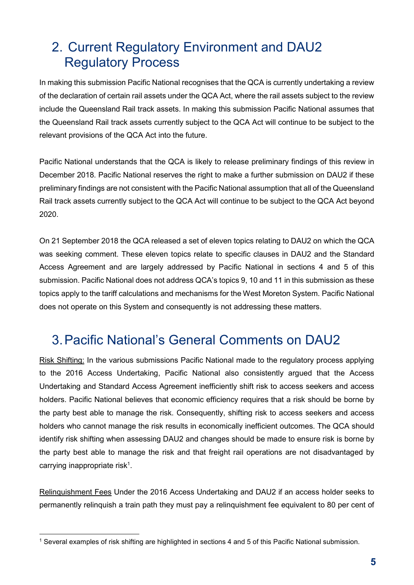## 2. Current Regulatory Environment and DAU2 Regulatory Process

In making this submission Pacific National recognises that the QCA is currently undertaking a review of the declaration of certain rail assets under the QCA Act, where the rail assets subject to the review include the Queensland Rail track assets. In making this submission Pacific National assumes that the Queensland Rail track assets currently subject to the QCA Act will continue to be subject to the relevant provisions of the QCA Act into the future.

Pacific National understands that the QCA is likely to release preliminary findings of this review in December 2018. Pacific National reserves the right to make a further submission on DAU2 if these preliminary findings are not consistent with the Pacific National assumption that all of the Queensland Rail track assets currently subject to the QCA Act will continue to be subject to the QCA Act beyond 2020.

On 21 September 2018 the QCA released a set of eleven topics relating to DAU2 on which the QCA was seeking comment. These eleven topics relate to specific clauses in DAU2 and the Standard Access Agreement and are largely addressed by Pacific National in sections 4 and 5 of this submission. Pacific National does not address QCA's topics 9, 10 and 11 in this submission as these topics apply to the tariff calculations and mechanisms for the West Moreton System. Pacific National does not operate on this System and consequently is not addressing these matters.

#### 3. Pacific National's General Comments on DAU2

Risk Shifting: In the various submissions Pacific National made to the regulatory process applying to the 2016 Access Undertaking, Pacific National also consistently argued that the Access Undertaking and Standard Access Agreement inefficiently shift risk to access seekers and access holders. Pacific National believes that economic efficiency requires that a risk should be borne by the party best able to manage the risk. Consequently, shifting risk to access seekers and access holders who cannot manage the risk results in economically inefficient outcomes. The QCA should identify risk shifting when assessing DAU2 and changes should be made to ensure risk is borne by the party best able to manage the risk and that freight rail operations are not disadvantaged by carrying inappropriate risk<sup>1</sup>.

Relinquishment Fees Under the 2016 Access Undertaking and DAU2 if an access holder seeks to permanently relinquish a train path they must pay a relinquishment fee equivalent to 80 per cent of

<sup>-</sup>1 Several examples of risk shifting are highlighted in sections 4 and 5 of this Pacific National submission.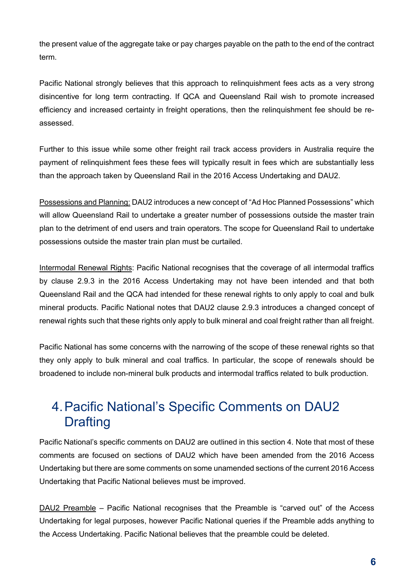the present value of the aggregate take or pay charges payable on the path to the end of the contract term.

Pacific National strongly believes that this approach to relinquishment fees acts as a very strong disincentive for long term contracting. If QCA and Queensland Rail wish to promote increased efficiency and increased certainty in freight operations, then the relinquishment fee should be reassessed.

Further to this issue while some other freight rail track access providers in Australia require the payment of relinquishment fees these fees will typically result in fees which are substantially less than the approach taken by Queensland Rail in the 2016 Access Undertaking and DAU2.

Possessions and Planning: DAU2 introduces a new concept of "Ad Hoc Planned Possessions" which will allow Queensland Rail to undertake a greater number of possessions outside the master train plan to the detriment of end users and train operators. The scope for Queensland Rail to undertake possessions outside the master train plan must be curtailed.

Intermodal Renewal Rights: Pacific National recognises that the coverage of all intermodal traffics by clause 2.9.3 in the 2016 Access Undertaking may not have been intended and that both Queensland Rail and the QCA had intended for these renewal rights to only apply to coal and bulk mineral products. Pacific National notes that DAU2 clause 2.9.3 introduces a changed concept of renewal rights such that these rights only apply to bulk mineral and coal freight rather than all freight.

Pacific National has some concerns with the narrowing of the scope of these renewal rights so that they only apply to bulk mineral and coal traffics. In particular, the scope of renewals should be broadened to include non-mineral bulk products and intermodal traffics related to bulk production.

## 4. Pacific National's Specific Comments on DAU2 **Drafting**

Pacific National's specific comments on DAU2 are outlined in this section 4. Note that most of these comments are focused on sections of DAU2 which have been amended from the 2016 Access Undertaking but there are some comments on some unamended sections of the current 2016 Access Undertaking that Pacific National believes must be improved.

DAU2 Preamble – Pacific National recognises that the Preamble is "carved out" of the Access Undertaking for legal purposes, however Pacific National queries if the Preamble adds anything to the Access Undertaking. Pacific National believes that the preamble could be deleted.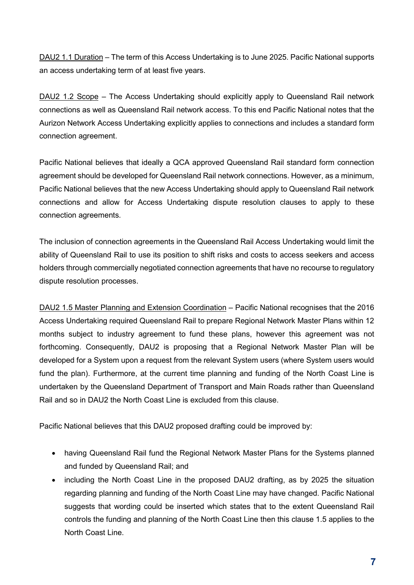DAU2 1.1 Duration – The term of this Access Undertaking is to June 2025. Pacific National supports an access undertaking term of at least five years.

DAU2 1.2 Scope – The Access Undertaking should explicitly apply to Queensland Rail network connections as well as Queensland Rail network access. To this end Pacific National notes that the Aurizon Network Access Undertaking explicitly applies to connections and includes a standard form connection agreement.

Pacific National believes that ideally a QCA approved Queensland Rail standard form connection agreement should be developed for Queensland Rail network connections. However, as a minimum, Pacific National believes that the new Access Undertaking should apply to Queensland Rail network connections and allow for Access Undertaking dispute resolution clauses to apply to these connection agreements.

The inclusion of connection agreements in the Queensland Rail Access Undertaking would limit the ability of Queensland Rail to use its position to shift risks and costs to access seekers and access holders through commercially negotiated connection agreements that have no recourse to regulatory dispute resolution processes.

DAU2 1.5 Master Planning and Extension Coordination – Pacific National recognises that the 2016 Access Undertaking required Queensland Rail to prepare Regional Network Master Plans within 12 months subject to industry agreement to fund these plans, however this agreement was not forthcoming. Consequently, DAU2 is proposing that a Regional Network Master Plan will be developed for a System upon a request from the relevant System users (where System users would fund the plan). Furthermore, at the current time planning and funding of the North Coast Line is undertaken by the Queensland Department of Transport and Main Roads rather than Queensland Rail and so in DAU2 the North Coast Line is excluded from this clause.

Pacific National believes that this DAU2 proposed drafting could be improved by:

- having Queensland Rail fund the Regional Network Master Plans for the Systems planned and funded by Queensland Rail; and
- including the North Coast Line in the proposed DAU2 drafting, as by 2025 the situation regarding planning and funding of the North Coast Line may have changed. Pacific National suggests that wording could be inserted which states that to the extent Queensland Rail controls the funding and planning of the North Coast Line then this clause 1.5 applies to the North Coast Line.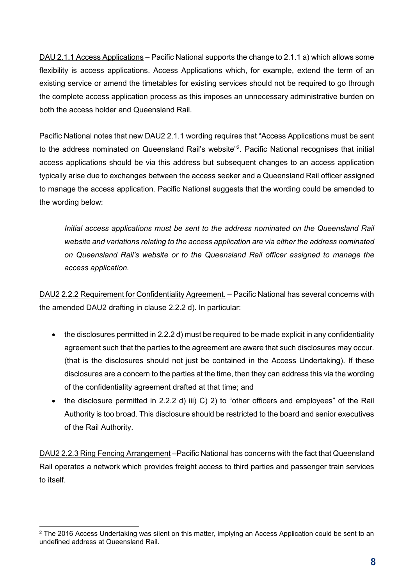DAU 2.1.1 Access Applications – Pacific National supports the change to 2.1.1 a) which allows some flexibility is access applications. Access Applications which, for example, extend the term of an existing service or amend the timetables for existing services should not be required to go through the complete access application process as this imposes an unnecessary administrative burden on both the access holder and Queensland Rail.

Pacific National notes that new DAU2 2.1.1 wording requires that "Access Applications must be sent to the address nominated on Queensland Rail's website"<sup>2</sup>. Pacific National recognises that initial access applications should be via this address but subsequent changes to an access application typically arise due to exchanges between the access seeker and a Queensland Rail officer assigned to manage the access application. Pacific National suggests that the wording could be amended to the wording below:

*Initial access applications must be sent to the address nominated on the Queensland Rail website and variations relating to the access application are via either the address nominated on Queensland Rail's website or to the Queensland Rail officer assigned to manage the access application.* 

DAU2 2.2.2 Requirement for Confidentiality Agreement. – Pacific National has several concerns with the amended DAU2 drafting in clause 2.2.2 d). In particular:

- the disclosures permitted in 2.2.2 d) must be required to be made explicit in any confidentiality agreement such that the parties to the agreement are aware that such disclosures may occur. (that is the disclosures should not just be contained in the Access Undertaking). If these disclosures are a concern to the parties at the time, then they can address this via the wording of the confidentiality agreement drafted at that time; and
- the disclosure permitted in 2.2.2 d) iii) C) 2) to "other officers and employees" of the Rail Authority is too broad. This disclosure should be restricted to the board and senior executives of the Rail Authority.

DAU2 2.2.3 Ring Fencing Arrangement –Pacific National has concerns with the fact that Queensland Rail operates a network which provides freight access to third parties and passenger train services to itself.

<sup>-</sup> $^2$  The 2016 Access Undertaking was silent on this matter, implying an Access Application could be sent to an undefined address at Queensland Rail.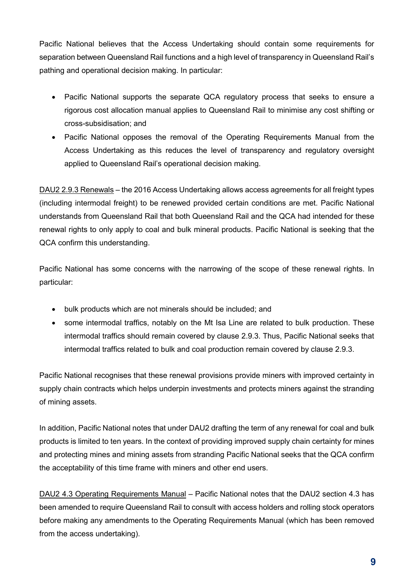Pacific National believes that the Access Undertaking should contain some requirements for separation between Queensland Rail functions and a high level of transparency in Queensland Rail's pathing and operational decision making. In particular:

- Pacific National supports the separate QCA regulatory process that seeks to ensure a rigorous cost allocation manual applies to Queensland Rail to minimise any cost shifting or cross-subsidisation; and
- Pacific National opposes the removal of the Operating Requirements Manual from the Access Undertaking as this reduces the level of transparency and regulatory oversight applied to Queensland Rail's operational decision making.

DAU2 2.9.3 Renewals – the 2016 Access Undertaking allows access agreements for all freight types (including intermodal freight) to be renewed provided certain conditions are met. Pacific National understands from Queensland Rail that both Queensland Rail and the QCA had intended for these renewal rights to only apply to coal and bulk mineral products. Pacific National is seeking that the QCA confirm this understanding.

Pacific National has some concerns with the narrowing of the scope of these renewal rights. In particular:

- bulk products which are not minerals should be included; and
- some intermodal traffics, notably on the Mt Isa Line are related to bulk production. These intermodal traffics should remain covered by clause 2.9.3. Thus, Pacific National seeks that intermodal traffics related to bulk and coal production remain covered by clause 2.9.3.

Pacific National recognises that these renewal provisions provide miners with improved certainty in supply chain contracts which helps underpin investments and protects miners against the stranding of mining assets.

In addition, Pacific National notes that under DAU2 drafting the term of any renewal for coal and bulk products is limited to ten years. In the context of providing improved supply chain certainty for mines and protecting mines and mining assets from stranding Pacific National seeks that the QCA confirm the acceptability of this time frame with miners and other end users.

DAU2 4.3 Operating Requirements Manual – Pacific National notes that the DAU2 section 4.3 has been amended to require Queensland Rail to consult with access holders and rolling stock operators before making any amendments to the Operating Requirements Manual (which has been removed from the access undertaking).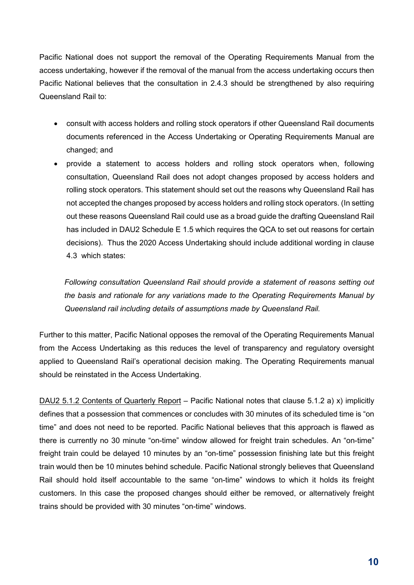Pacific National does not support the removal of the Operating Requirements Manual from the access undertaking, however if the removal of the manual from the access undertaking occurs then Pacific National believes that the consultation in 2.4.3 should be strengthened by also requiring Queensland Rail to:

- consult with access holders and rolling stock operators if other Queensland Rail documents documents referenced in the Access Undertaking or Operating Requirements Manual are changed; and
- provide a statement to access holders and rolling stock operators when, following consultation, Queensland Rail does not adopt changes proposed by access holders and rolling stock operators. This statement should set out the reasons why Queensland Rail has not accepted the changes proposed by access holders and rolling stock operators. (In setting out these reasons Queensland Rail could use as a broad guide the drafting Queensland Rail has included in DAU2 Schedule E 1.5 which requires the QCA to set out reasons for certain decisions). Thus the 2020 Access Undertaking should include additional wording in clause 4.3 which states:

*Following consultation Queensland Rail should provide a statement of reasons setting out the basis and rationale for any variations made to the Operating Requirements Manual by Queensland rail including details of assumptions made by Queensland Rail.* 

Further to this matter, Pacific National opposes the removal of the Operating Requirements Manual from the Access Undertaking as this reduces the level of transparency and regulatory oversight applied to Queensland Rail's operational decision making. The Operating Requirements manual should be reinstated in the Access Undertaking.

DAU2 5.1.2 Contents of Quarterly Report – Pacific National notes that clause 5.1.2 a) x) implicitly defines that a possession that commences or concludes with 30 minutes of its scheduled time is "on time" and does not need to be reported. Pacific National believes that this approach is flawed as there is currently no 30 minute "on-time" window allowed for freight train schedules. An "on-time" freight train could be delayed 10 minutes by an "on-time" possession finishing late but this freight train would then be 10 minutes behind schedule. Pacific National strongly believes that Queensland Rail should hold itself accountable to the same "on-time" windows to which it holds its freight customers. In this case the proposed changes should either be removed, or alternatively freight trains should be provided with 30 minutes "on-time" windows.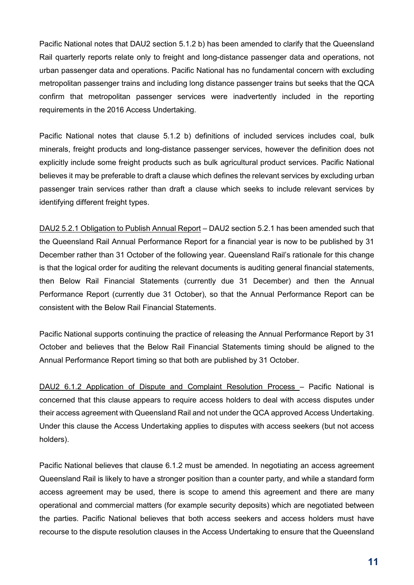Pacific National notes that DAU2 section 5.1.2 b) has been amended to clarify that the Queensland Rail quarterly reports relate only to freight and long-distance passenger data and operations, not urban passenger data and operations. Pacific National has no fundamental concern with excluding metropolitan passenger trains and including long distance passenger trains but seeks that the QCA confirm that metropolitan passenger services were inadvertently included in the reporting requirements in the 2016 Access Undertaking.

Pacific National notes that clause 5.1.2 b) definitions of included services includes coal, bulk minerals, freight products and long-distance passenger services, however the definition does not explicitly include some freight products such as bulk agricultural product services. Pacific National believes it may be preferable to draft a clause which defines the relevant services by excluding urban passenger train services rather than draft a clause which seeks to include relevant services by identifying different freight types.

DAU2 5.2.1 Obligation to Publish Annual Report – DAU2 section 5.2.1 has been amended such that the Queensland Rail Annual Performance Report for a financial year is now to be published by 31 December rather than 31 October of the following year. Queensland Rail's rationale for this change is that the logical order for auditing the relevant documents is auditing general financial statements, then Below Rail Financial Statements (currently due 31 December) and then the Annual Performance Report (currently due 31 October), so that the Annual Performance Report can be consistent with the Below Rail Financial Statements.

Pacific National supports continuing the practice of releasing the Annual Performance Report by 31 October and believes that the Below Rail Financial Statements timing should be aligned to the Annual Performance Report timing so that both are published by 31 October.

DAU2 6.1.2 Application of Dispute and Complaint Resolution Process – Pacific National is concerned that this clause appears to require access holders to deal with access disputes under their access agreement with Queensland Rail and not under the QCA approved Access Undertaking. Under this clause the Access Undertaking applies to disputes with access seekers (but not access holders).

Pacific National believes that clause 6.1.2 must be amended. In negotiating an access agreement Queensland Rail is likely to have a stronger position than a counter party, and while a standard form access agreement may be used, there is scope to amend this agreement and there are many operational and commercial matters (for example security deposits) which are negotiated between the parties. Pacific National believes that both access seekers and access holders must have recourse to the dispute resolution clauses in the Access Undertaking to ensure that the Queensland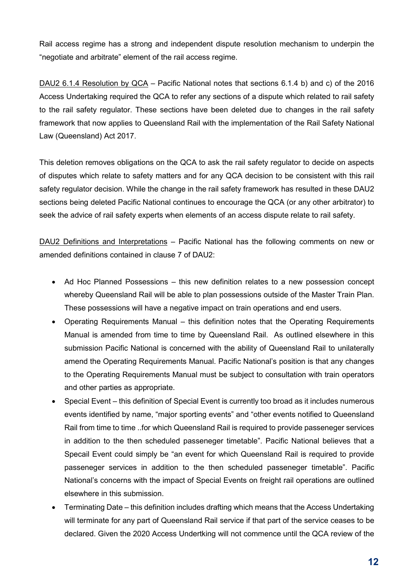Rail access regime has a strong and independent dispute resolution mechanism to underpin the "negotiate and arbitrate" element of the rail access regime.

DAU2 6.1.4 Resolution by QCA – Pacific National notes that sections 6.1.4 b) and c) of the 2016 Access Undertaking required the QCA to refer any sections of a dispute which related to rail safety to the rail safety regulator. These sections have been deleted due to changes in the rail safety framework that now applies to Queensland Rail with the implementation of the Rail Safety National Law (Queensland) Act 2017.

This deletion removes obligations on the QCA to ask the rail safety regulator to decide on aspects of disputes which relate to safety matters and for any QCA decision to be consistent with this rail safety regulator decision. While the change in the rail safety framework has resulted in these DAU2 sections being deleted Pacific National continues to encourage the QCA (or any other arbitrator) to seek the advice of rail safety experts when elements of an access dispute relate to rail safety.

DAU2 Definitions and Interpretations – Pacific National has the following comments on new or amended definitions contained in clause 7 of DAU2:

- Ad Hoc Planned Possessions this new definition relates to a new possession concept whereby Queensland Rail will be able to plan possessions outside of the Master Train Plan. These possessions will have a negative impact on train operations and end users.
- Operating Requirements Manual this definition notes that the Operating Requirements Manual is amended from time to time by Queensland Rail. As outlined elsewhere in this submission Pacific National is concerned with the ability of Queensland Rail to unilaterally amend the Operating Requirements Manual. Pacific National's position is that any changes to the Operating Requirements Manual must be subject to consultation with train operators and other parties as appropriate.
- Special Event this definition of Special Event is currently too broad as it includes numerous events identified by name, "major sporting events" and "other events notified to Queensland Rail from time to time ..for which Queensland Rail is required to provide passeneger services in addition to the then scheduled passeneger timetable". Pacific National believes that a Specail Event could simply be "an event for which Queensland Rail is required to provide passeneger services in addition to the then scheduled passeneger timetable". Pacific National's concerns with the impact of Special Events on freight rail operations are outlined elsewhere in this submission.
- Terminating Date this definition includes drafting which means that the Access Undertaking will terminate for any part of Queensland Rail service if that part of the service ceases to be declared. Given the 2020 Access Undertking will not commence until the QCA review of the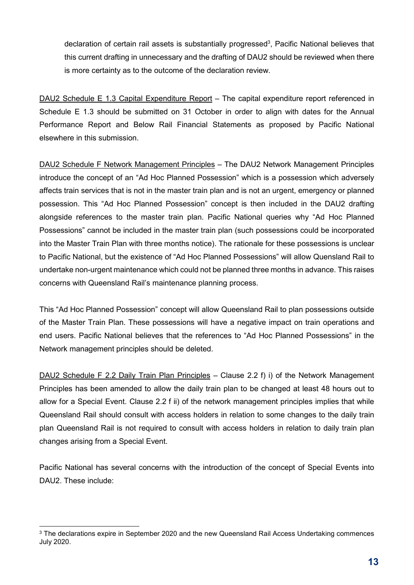declaration of certain rail assets is substantially progressed<sup>3</sup>, Pacific National believes that this current drafting in unnecessary and the drafting of DAU2 should be reviewed when there is more certainty as to the outcome of the declaration review.

DAU2 Schedule E 1.3 Capital Expenditure Report – The capital expenditure report referenced in Schedule E 1.3 should be submitted on 31 October in order to align with dates for the Annual Performance Report and Below Rail Financial Statements as proposed by Pacific National elsewhere in this submission.

DAU2 Schedule F Network Management Principles – The DAU2 Network Management Principles introduce the concept of an "Ad Hoc Planned Possession" which is a possession which adversely affects train services that is not in the master train plan and is not an urgent, emergency or planned possession. This "Ad Hoc Planned Possession" concept is then included in the DAU2 drafting alongside references to the master train plan. Pacific National queries why "Ad Hoc Planned Possessions" cannot be included in the master train plan (such possessions could be incorporated into the Master Train Plan with three months notice). The rationale for these possessions is unclear to Pacific National, but the existence of "Ad Hoc Planned Possessions" will allow Quensland Rail to undertake non-urgent maintenance which could not be planned three months in advance. This raises concerns with Queensland Rail's maintenance planning process.

This "Ad Hoc Planned Possession" concept will allow Queensland Rail to plan possessions outside of the Master Train Plan. These possessions will have a negative impact on train operations and end users. Pacific National believes that the references to "Ad Hoc Planned Possessions" in the Network management principles should be deleted.

DAU2 Schedule F 2.2 Daily Train Plan Principles – Clause 2.2 f) i) of the Network Management Principles has been amended to allow the daily train plan to be changed at least 48 hours out to allow for a Special Event. Clause 2.2 f ii) of the network management principles implies that while Queensland Rail should consult with access holders in relation to some changes to the daily train plan Queensland Rail is not required to consult with access holders in relation to daily train plan changes arising from a Special Event.

Pacific National has several concerns with the introduction of the concept of Special Events into DAU2. These include:

<sup>-</sup> $\,^3$  The declarations expire in September 2020 and the new Queensland Rail Access Undertaking commences July 2020.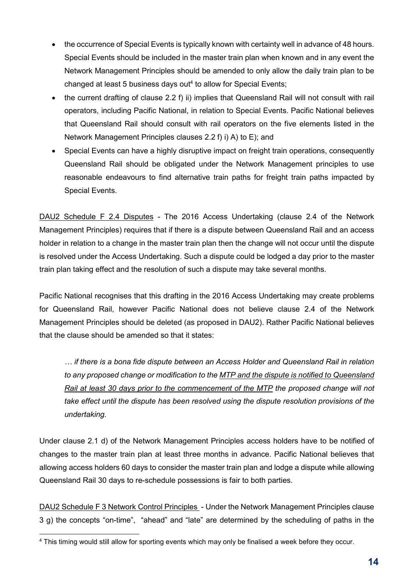- the occurrence of Special Events is typically known with certainty well in advance of 48 hours. Special Events should be included in the master train plan when known and in any event the Network Management Principles should be amended to only allow the daily train plan to be changed at least 5 business days out<sup>4</sup> to allow for Special Events;
- the current drafting of clause 2.2 f) ii) implies that Queensland Rail will not consult with rail operators, including Pacific National, in relation to Special Events. Pacific National believes that Queensland Rail should consult with rail operators on the five elements listed in the Network Management Principles clauses 2.2 f) i) A) to E); and
- Special Events can have a highly disruptive impact on freight train operations, consequently Queensland Rail should be obligated under the Network Management principles to use reasonable endeavours to find alternative train paths for freight train paths impacted by Special Events.

DAU2 Schedule F 2.4 Disputes - The 2016 Access Undertaking (clause 2.4 of the Network Management Principles) requires that if there is a dispute between Queensland Rail and an access holder in relation to a change in the master train plan then the change will not occur until the dispute is resolved under the Access Undertaking. Such a dispute could be lodged a day prior to the master train plan taking effect and the resolution of such a dispute may take several months.

Pacific National recognises that this drafting in the 2016 Access Undertaking may create problems for Queensland Rail, however Pacific National does not believe clause 2.4 of the Network Management Principles should be deleted (as proposed in DAU2). Rather Pacific National believes that the clause should be amended so that it states:

*… if there is a bona fide dispute between an Access Holder and Queensland Rail in relation to any proposed change or modification to the MTP and the dispute is notified to Queensland Rail at least 30 days prior to the commencement of the MTP the proposed change will not take effect until the dispute has been resolved using the dispute resolution provisions of the undertaking.* 

Under clause 2.1 d) of the Network Management Principles access holders have to be notified of changes to the master train plan at least three months in advance. Pacific National believes that allowing access holders 60 days to consider the master train plan and lodge a dispute while allowing Queensland Rail 30 days to re-schedule possessions is fair to both parties.

DAU2 Schedule F 3 Network Control Principles - Under the Network Management Principles clause 3 g) the concepts "on-time", "ahead" and "late" are determined by the scheduling of paths in the

<sup>-</sup>4 This timing would still allow for sporting events which may only be finalised a week before they occur.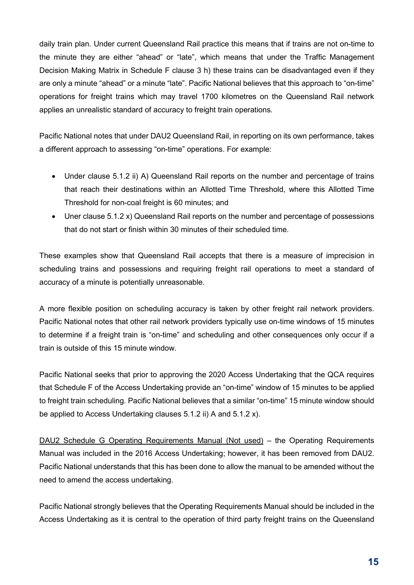daily train plan. Under current Queensland Rail practice this means that if trains are not on-time to the minute they are either "ahead" or "late", which means that under the Traffic Management Decision Making Matrix in Schedule F clause 3 h) these trains can be disadvantaged even if they are only a minute "ahead" or a minute "late". Pacific National believes that this approach to "on-time" operations for freight trains which may travel 1700 kilometres on the Queensland Rail network applies an unrealistic standard of accuracy to freight train operations.

Pacific National notes that under DAU2 Queensland Rail, in reporting on its own performance, takes a different approach to assessing "on-time" operations. For example:

- Under clause 5.1.2 ii) A) Queensland Rail reports on the number and percentage of trains that reach their destinations within an Allotted Time Threshold, where this Allotted Time Threshold for non-coal freight is 60 minutes; and
- Uner clause 5.1.2 x) Queensland Rail reports on the number and percentage of possessions that do not start or finish within 30 minutes of their scheduled time.

These examples show that Queensland Rail accepts that there is a measure of imprecision in scheduling trains and possessions and requiring freight rail operations to meet a standard of accuracy of a minute is potentially unreasonable.

A more flexible position on scheduling accuracy is taken by other freight rail network providers. Pacific National notes that other rail network providers typically use on-time windows of 15 minutes to determine if a freight train is "on-time" and scheduling and other consequences only occur if a train is outside of this 15 minute window.

Pacific National seeks that prior to approving the 2020 Access Undertaking that the QCA requires that Schedule F of the Access Undertaking provide an "on-time" window of 15 minutes to be applied to freight train scheduling. Pacific National believes that a similar "on-time" 15 minute window should be applied to Access Undertaking clauses 5.1.2 ii) A and 5.1.2 x).

DAU2 Schedule G Operating Requirements Manual (Not used) – the Operating Requirements Manual was included in the 2016 Access Undertaking; however, it has been removed from DAU2. Pacific National understands that this has been done to allow the manual to be amended without the need to amend the access undertaking.

Pacific National strongly believes that the Operating Requirements Manual should be included in the Access Undertaking as it is central to the operation of third party freight trains on the Queensland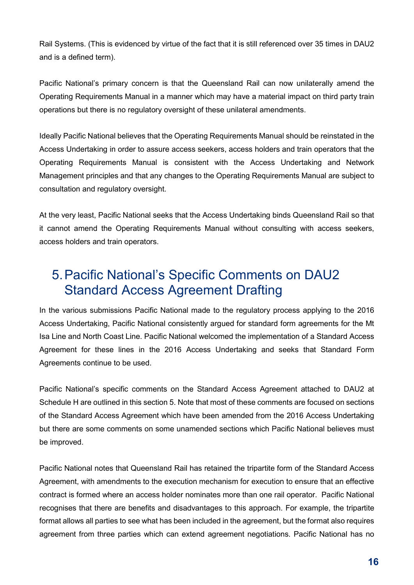Rail Systems. (This is evidenced by virtue of the fact that it is still referenced over 35 times in DAU2 and is a defined term).

Pacific National's primary concern is that the Queensland Rail can now unilaterally amend the Operating Requirements Manual in a manner which may have a material impact on third party train operations but there is no regulatory oversight of these unilateral amendments.

Ideally Pacific National believes that the Operating Requirements Manual should be reinstated in the Access Undertaking in order to assure access seekers, access holders and train operators that the Operating Requirements Manual is consistent with the Access Undertaking and Network Management principles and that any changes to the Operating Requirements Manual are subject to consultation and regulatory oversight.

At the very least, Pacific National seeks that the Access Undertaking binds Queensland Rail so that it cannot amend the Operating Requirements Manual without consulting with access seekers, access holders and train operators.

#### 5. Pacific National's Specific Comments on DAU2 Standard Access Agreement Drafting

In the various submissions Pacific National made to the regulatory process applying to the 2016 Access Undertaking, Pacific National consistently argued for standard form agreements for the Mt Isa Line and North Coast Line. Pacific National welcomed the implementation of a Standard Access Agreement for these lines in the 2016 Access Undertaking and seeks that Standard Form Agreements continue to be used.

Pacific National's specific comments on the Standard Access Agreement attached to DAU2 at Schedule H are outlined in this section 5. Note that most of these comments are focused on sections of the Standard Access Agreement which have been amended from the 2016 Access Undertaking but there are some comments on some unamended sections which Pacific National believes must be improved.

Pacific National notes that Queensland Rail has retained the tripartite form of the Standard Access Agreement, with amendments to the execution mechanism for execution to ensure that an effective contract is formed where an access holder nominates more than one rail operator. Pacific National recognises that there are benefits and disadvantages to this approach. For example, the tripartite format allows all parties to see what has been included in the agreement, but the format also requires agreement from three parties which can extend agreement negotiations. Pacific National has no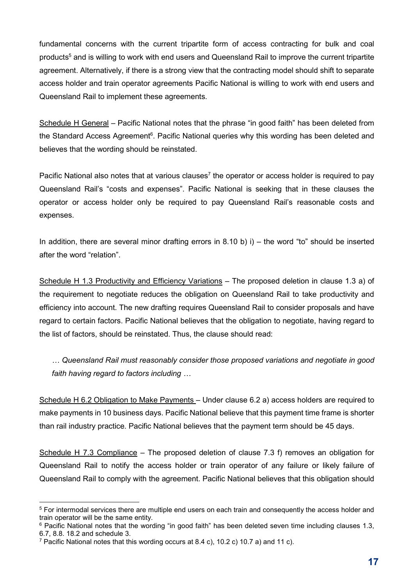fundamental concerns with the current tripartite form of access contracting for bulk and coal products<sup>5</sup> and is willing to work with end users and Queensland Rail to improve the current tripartite agreement. Alternatively, if there is a strong view that the contracting model should shift to separate access holder and train operator agreements Pacific National is willing to work with end users and Queensland Rail to implement these agreements.

Schedule H General – Pacific National notes that the phrase "in good faith" has been deleted from the Standard Access Agreement<sup>6</sup>. Pacific National queries why this wording has been deleted and believes that the wording should be reinstated.

Pacific National also notes that at various clauses<sup>7</sup> the operator or access holder is required to pay Queensland Rail's "costs and expenses". Pacific National is seeking that in these clauses the operator or access holder only be required to pay Queensland Rail's reasonable costs and expenses.

In addition, there are several minor drafting errors in 8.10 b) i) – the word "to" should be inserted after the word "relation".

Schedule H 1.3 Productivity and Efficiency Variations - The proposed deletion in clause 1.3 a) of the requirement to negotiate reduces the obligation on Queensland Rail to take productivity and efficiency into account. The new drafting requires Queensland Rail to consider proposals and have regard to certain factors. Pacific National believes that the obligation to negotiate, having regard to the list of factors, should be reinstated. Thus, the clause should read:

*… Queensland Rail must reasonably consider those proposed variations and negotiate in good faith having regard to factors including …* 

Schedule H 6.2 Obligation to Make Payments – Under clause 6.2 a) access holders are required to make payments in 10 business days. Pacific National believe that this payment time frame is shorter than rail industry practice. Pacific National believes that the payment term should be 45 days.

Schedule H 7.3 Compliance – The proposed deletion of clause 7.3 f) removes an obligation for Queensland Rail to notify the access holder or train operator of any failure or likely failure of Queensland Rail to comply with the agreement. Pacific National believes that this obligation should

<sup>-</sup>5 For intermodal services there are multiple end users on each train and consequently the access holder and train operator will be the same entity.

<sup>6</sup> Pacific National notes that the wording "in good faith" has been deleted seven time including clauses 1.3, 6.7, 8.8. 18.2 and schedule 3.

<sup>&</sup>lt;sup>7</sup> Pacific National notes that this wording occurs at 8.4 c), 10.2 c) 10.7 a) and 11 c).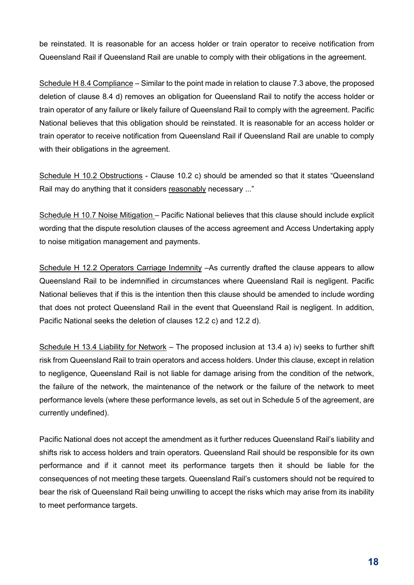be reinstated. It is reasonable for an access holder or train operator to receive notification from Queensland Rail if Queensland Rail are unable to comply with their obligations in the agreement.

Schedule H 8.4 Compliance - Similar to the point made in relation to clause 7.3 above, the proposed deletion of clause 8.4 d) removes an obligation for Queensland Rail to notify the access holder or train operator of any failure or likely failure of Queensland Rail to comply with the agreement. Pacific National believes that this obligation should be reinstated. It is reasonable for an access holder or train operator to receive notification from Queensland Rail if Queensland Rail are unable to comply with their obligations in the agreement.

Schedule H 10.2 Obstructions - Clause 10.2 c) should be amended so that it states "Queensland Rail may do anything that it considers reasonably necessary ..."

Schedule H 10.7 Noise Mitigation – Pacific National believes that this clause should include explicit wording that the dispute resolution clauses of the access agreement and Access Undertaking apply to noise mitigation management and payments.

Schedule H 12.2 Operators Carriage Indemnity -As currently drafted the clause appears to allow Queensland Rail to be indemnified in circumstances where Queensland Rail is negligent. Pacific National believes that if this is the intention then this clause should be amended to include wording that does not protect Queensland Rail in the event that Queensland Rail is negligent. In addition, Pacific National seeks the deletion of clauses 12.2 c) and 12.2 d).

Schedule H 13.4 Liability for Network – The proposed inclusion at 13.4 a) iv) seeks to further shift risk from Queensland Rail to train operators and access holders. Under this clause, except in relation to negligence, Queensland Rail is not liable for damage arising from the condition of the network, the failure of the network, the maintenance of the network or the failure of the network to meet performance levels (where these performance levels, as set out in Schedule 5 of the agreement, are currently undefined).

Pacific National does not accept the amendment as it further reduces Queensland Rail's liability and shifts risk to access holders and train operators. Queensland Rail should be responsible for its own performance and if it cannot meet its performance targets then it should be liable for the consequences of not meeting these targets. Queensland Rail's customers should not be required to bear the risk of Queensland Rail being unwilling to accept the risks which may arise from its inability to meet performance targets.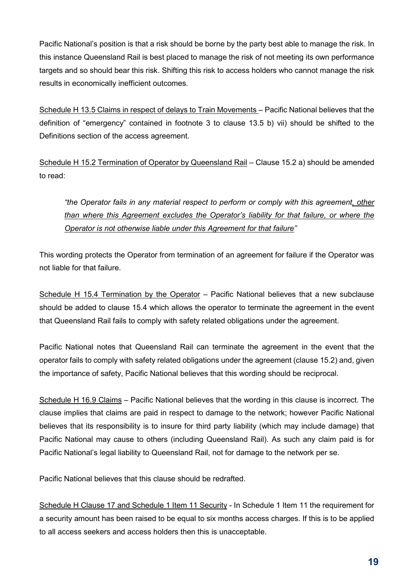Pacific National's position is that a risk should be borne by the party best able to manage the risk. In this instance Queensland Rail is best placed to manage the risk of not meeting its own performance targets and so should bear this risk. Shifting this risk to access holders who cannot manage the risk results in economically inefficient outcomes.

Schedule H 13.5 Claims in respect of delays to Train Movements – Pacific National believes that the definition of "emergency" contained in footnote 3 to clause 13.5 b) vii) should be shifted to the Definitions section of the access agreement.

Schedule H 15.2 Termination of Operator by Queensland Rail – Clause 15.2 a) should be amended to read:

*"the Operator fails in any material respect to perform or comply with this agreement, other than where this Agreement excludes the Operator's liability for that failure, or where the Operator is not otherwise liable under this Agreement for that failure"* 

This wording protects the Operator from termination of an agreement for failure if the Operator was not liable for that failure.

Schedule H 15.4 Termination by the Operator – Pacific National believes that a new subclause should be added to clause 15.4 which allows the operator to terminate the agreement in the event that Queensland Rail fails to comply with safety related obligations under the agreement.

Pacific National notes that Queensland Rail can terminate the agreement in the event that the operator fails to comply with safety related obligations under the agreement (clause 15.2) and, given the importance of safety, Pacific National believes that this wording should be reciprocal.

Schedule H 16.9 Claims – Pacific National believes that the wording in this clause is incorrect. The clause implies that claims are paid in respect to damage to the network; however Pacific National believes that its responsibility is to insure for third party liability (which may include damage) that Pacific National may cause to others (including Queensland Rail). As such any claim paid is for Pacific National's legal liability to Queensland Rail, not for damage to the network per se.

Pacific National believes that this clause should be redrafted.

Schedule H Clause 17 and Schedule 1 Item 11 Security - In Schedule 1 Item 11 the requirement for a security amount has been raised to be equal to six months access charges. If this is to be applied to all access seekers and access holders then this is unacceptable.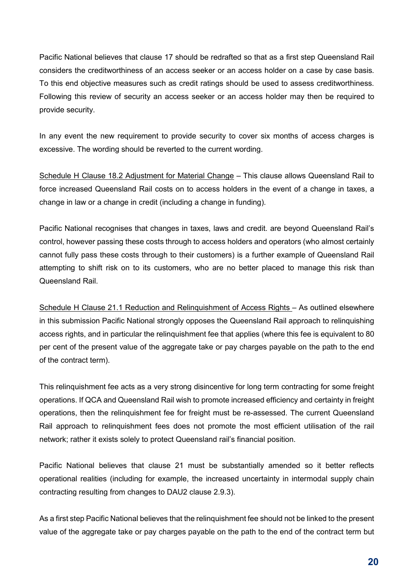Pacific National believes that clause 17 should be redrafted so that as a first step Queensland Rail considers the creditworthiness of an access seeker or an access holder on a case by case basis. To this end objective measures such as credit ratings should be used to assess creditworthiness. Following this review of security an access seeker or an access holder may then be required to provide security.

In any event the new requirement to provide security to cover six months of access charges is excessive. The wording should be reverted to the current wording.

Schedule H Clause 18.2 Adjustment for Material Change – This clause allows Queensland Rail to force increased Queensland Rail costs on to access holders in the event of a change in taxes, a change in law or a change in credit (including a change in funding).

Pacific National recognises that changes in taxes, laws and credit. are beyond Queensland Rail's control, however passing these costs through to access holders and operators (who almost certainly cannot fully pass these costs through to their customers) is a further example of Queensland Rail attempting to shift risk on to its customers, who are no better placed to manage this risk than Queensland Rail.

Schedule H Clause 21.1 Reduction and Relinquishment of Access Rights – As outlined elsewhere in this submission Pacific National strongly opposes the Queensland Rail approach to relinquishing access rights, and in particular the relinquishment fee that applies (where this fee is equivalent to 80 per cent of the present value of the aggregate take or pay charges payable on the path to the end of the contract term).

This relinquishment fee acts as a very strong disincentive for long term contracting for some freight operations. If QCA and Queensland Rail wish to promote increased efficiency and certainty in freight operations, then the relinquishment fee for freight must be re-assessed. The current Queensland Rail approach to relinquishment fees does not promote the most efficient utilisation of the rail network; rather it exists solely to protect Queensland rail's financial position.

Pacific National believes that clause 21 must be substantially amended so it better reflects operational realities (including for example, the increased uncertainty in intermodal supply chain contracting resulting from changes to DAU2 clause 2.9.3).

As a first step Pacific National believes that the relinquishment fee should not be linked to the present value of the aggregate take or pay charges payable on the path to the end of the contract term but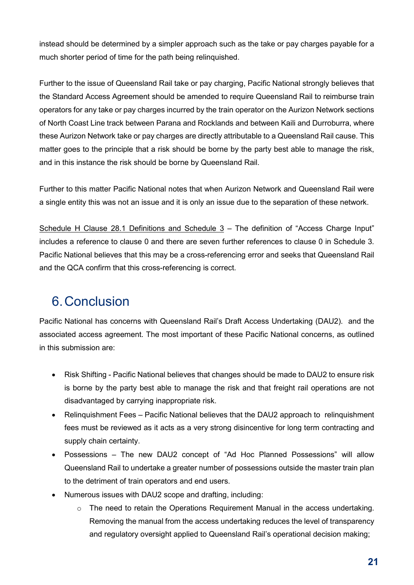instead should be determined by a simpler approach such as the take or pay charges payable for a much shorter period of time for the path being relinquished.

Further to the issue of Queensland Rail take or pay charging, Pacific National strongly believes that the Standard Access Agreement should be amended to require Queensland Rail to reimburse train operators for any take or pay charges incurred by the train operator on the Aurizon Network sections of North Coast Line track between Parana and Rocklands and between Kaili and Durroburra, where these Aurizon Network take or pay charges are directly attributable to a Queensland Rail cause. This matter goes to the principle that a risk should be borne by the party best able to manage the risk, and in this instance the risk should be borne by Queensland Rail.

Further to this matter Pacific National notes that when Aurizon Network and Queensland Rail were a single entity this was not an issue and it is only an issue due to the separation of these network.

Schedule H Clause 28.1 Definitions and Schedule 3 – The definition of "Access Charge Input" includes a reference to clause 0 and there are seven further references to clause 0 in Schedule 3. Pacific National believes that this may be a cross-referencing error and seeks that Queensland Rail and the QCA confirm that this cross-referencing is correct.

## 6. Conclusion

Pacific National has concerns with Queensland Rail's Draft Access Undertaking (DAU2). and the associated access agreement. The most important of these Pacific National concerns, as outlined in this submission are:

- Risk Shifting Pacific National believes that changes should be made to DAU2 to ensure risk is borne by the party best able to manage the risk and that freight rail operations are not disadvantaged by carrying inappropriate risk.
- Relinquishment Fees Pacific National believes that the DAU2 approach to relinquishment fees must be reviewed as it acts as a very strong disincentive for long term contracting and supply chain certainty.
- Possessions The new DAU2 concept of "Ad Hoc Planned Possessions" will allow Queensland Rail to undertake a greater number of possessions outside the master train plan to the detriment of train operators and end users.
- Numerous issues with DAU2 scope and drafting, including:
	- o The need to retain the Operations Requirement Manual in the access undertaking. Removing the manual from the access undertaking reduces the level of transparency and regulatory oversight applied to Queensland Rail's operational decision making;